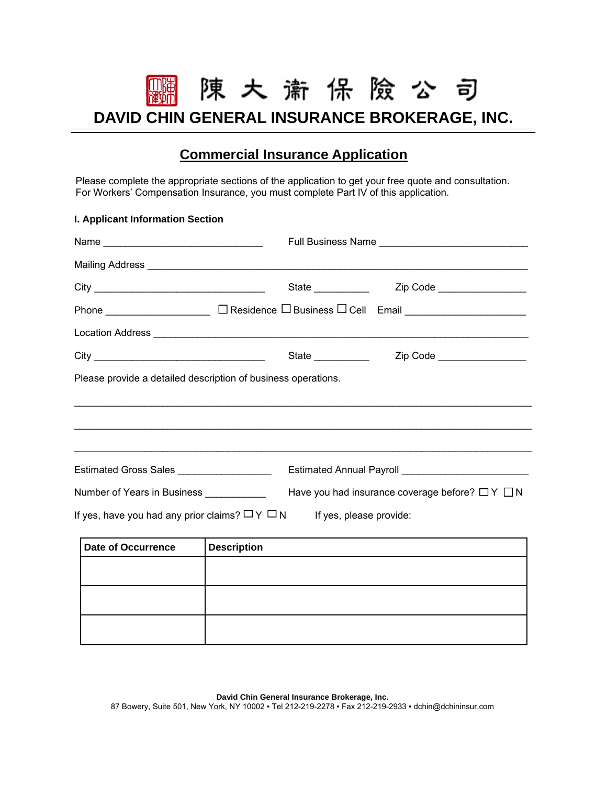陳大 潇 保 險 公 司

**DAVID CHIN GENERAL INSURANCE BROKERAGE, INC.** 

# **Commercial Insurance Application**

Please complete the appropriate sections of the application to get your free quote and consultation. For Workers' Compensation Insurance, you must complete Part IV of this application.

## **I. Applicant Information Section**

| Name                                                                                                |                                                                                                                                                                                                                                     |  |  |  |  |  |  |  |
|-----------------------------------------------------------------------------------------------------|-------------------------------------------------------------------------------------------------------------------------------------------------------------------------------------------------------------------------------------|--|--|--|--|--|--|--|
|                                                                                                     |                                                                                                                                                                                                                                     |  |  |  |  |  |  |  |
|                                                                                                     | State ___________<br>Zip Code __________________                                                                                                                                                                                    |  |  |  |  |  |  |  |
|                                                                                                     |                                                                                                                                                                                                                                     |  |  |  |  |  |  |  |
|                                                                                                     | Location Address <b>Land Address</b> 2001 and 2001 and 2008 and 2008 and 2008 and 2008 and 2008 and 2008 and 2008 and 2008 and 2008 and 2008 and 2008 and 2008 and 2008 and 2008 and 2008 and 2008 and 2008 and 2008 and 2008 and 2 |  |  |  |  |  |  |  |
|                                                                                                     | State ___________<br>Zip Code ___________________                                                                                                                                                                                   |  |  |  |  |  |  |  |
| Please provide a detailed description of business operations.                                       |                                                                                                                                                                                                                                     |  |  |  |  |  |  |  |
|                                                                                                     |                                                                                                                                                                                                                                     |  |  |  |  |  |  |  |
|                                                                                                     |                                                                                                                                                                                                                                     |  |  |  |  |  |  |  |
|                                                                                                     | <u>,我们就会在这里的时候,我们就会在这里的时候,我们就会在这里的时候,我们就会在这里的时候,我们就会在这里的时候,我们就会在这里的时候,我们就会在这里</u>                                                                                                                                                   |  |  |  |  |  |  |  |
| Estimated Gross Sales ___________________                                                           |                                                                                                                                                                                                                                     |  |  |  |  |  |  |  |
| Have you had insurance coverage before? $\Box Y \Box N$<br>Number of Years in Business ____________ |                                                                                                                                                                                                                                     |  |  |  |  |  |  |  |
| If yes, have you had any prior claims? $\Box Y \Box N$ If yes, please provide:                      |                                                                                                                                                                                                                                     |  |  |  |  |  |  |  |
| Date of Occurrence                                                                                  | <b>Description</b>                                                                                                                                                                                                                  |  |  |  |  |  |  |  |
|                                                                                                     |                                                                                                                                                                                                                                     |  |  |  |  |  |  |  |

**David Chin General Insurance Brokerage, Inc.**  87 Bowery, Suite 501, New York, NY 10002 ▪ Tel 212-219-2278 ▪ Fax 212-219-2933 ▪ dchin@dchininsur.com